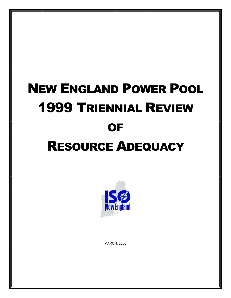# NEW ENGLAND POWER POOL 1999 TRIENNIAL REVIEW **OF** RESOURCE ADEQUACY



MARCH, 2000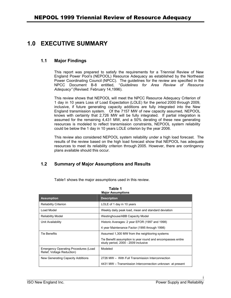# <span id="page-2-0"></span>**1.0 EXECUTIVE SUMMARY**

### **1.1 Major Findings**

This report was prepared to satisfy the requirements for a Triennial Review of New England Power Pool's (NEPOOL) Resource Adequacy as established by the Northeast Power Coordinating Council (NPCC). The guidelines for the review are specified in the NPCC Document B-8 entitled, "*Guidelines for Area Review of Resource Adequacy"* (Revised: February 14,1996).

This review shows that NEPOOL will meet the NPCC Resource Adequacy Criterion of 1 day in 10 years Loss of Load Expectation (LOLE) for the period 2000 through 2009, inclusive, if future generating capacity additions are fully integrated into the New England transmission system. Of the 7157 MW of new capacity assumed, NEPOOL knows with certainty that 2,726 MW will be fully integrated. If partial integration is assumed for the remaining 4,431 MW, and a 50% derating of these new generating resources is modeled to reflect transmission constraints, NEPOOL system reliability could be below the 1 day in 10 years LOLE criterion by the year 2006.

This review also considered NEPOOL system reliability under a high load forecast. The results of the review based on the high load forecast show that NEPOOL has adequate resources to meet its reliability criterion through 2005. However, there are contingency plans available should this occur.

## **1.2 Summary of Major Assumptions and Results**

| Table 1<br><b>Major Assumptions</b>                                       |                                                                                                    |  |  |  |
|---------------------------------------------------------------------------|----------------------------------------------------------------------------------------------------|--|--|--|
| <b>Assumption</b>                                                         | <b>Description</b>                                                                                 |  |  |  |
| <b>Reliability Criterion</b>                                              | LOLE of 1 day in 10 years                                                                          |  |  |  |
| Load Model                                                                | Weekly daily peak load, mean and standard deviation                                                |  |  |  |
| <b>Reliability Model</b>                                                  | Westinghouse/ABB Capacity Model                                                                    |  |  |  |
| Unit Availability                                                         | Historic Averages: 2 year EFOR (1997 and 1998)                                                     |  |  |  |
|                                                                           | 4 year Maintenance Factor (1995 through 1998)                                                      |  |  |  |
| Tie Benefits                                                              | Assumed 1,300 MW from the neighboring systems                                                      |  |  |  |
|                                                                           | Tie Benefit assumption is year round and encompasses entire<br>study period, 2000 - 2009 inclusive |  |  |  |
| <b>Emergency Operating Procedures (Load</b><br>Relief, Voltage Reduction) | Modeled                                                                                            |  |  |  |
| New Generating Capacity Additions                                         | 2726 MW - With Full Transmission Interconnection                                                   |  |  |  |
|                                                                           | 4431 MW – Transmission Interconnection unknown at present                                          |  |  |  |

Table1 shows the major assumptions used in this review.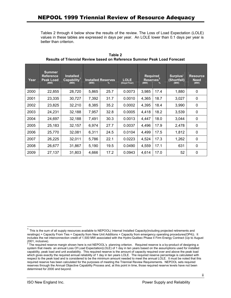Tables 2 through 4 below show the results of the review. The Loss of Load Expectation (LOLE) values in these tables are expressed in days per year. An LOLE lower than 0.1 days per year is better than criterion.

| Year | <b>Summer</b><br><b>Reference</b><br><b>Peak Load</b><br>(MW) | <b>Installed</b><br>Capability <sup>1</sup><br>(MW) | (MW)  | <b>Installed Reserves</b><br>$\%$ | <b>LOLE</b><br>(Days/Year) | <b>Required</b><br>Reserves <sup>2</sup><br>(MW) | $\%$ | Surplus/<br>(Shortfall)<br>(MW) | <b>Resource</b><br><b>Need</b><br>(MW) |
|------|---------------------------------------------------------------|-----------------------------------------------------|-------|-----------------------------------|----------------------------|--------------------------------------------------|------|---------------------------------|----------------------------------------|
| 2000 | 22,855                                                        | 28,720                                              | 5,865 | 25.7                              | 0.0073                     | 3,985                                            | 17.4 | 1,880                           | 0                                      |
| 2001 | 23,335                                                        | 30,727                                              | 7,392 | 31.7                              | 0.0010                     | 4,365                                            | 18.7 | 3,027                           | 0                                      |
| 2002 | 23,825                                                        | 32,210                                              | 8,385 | 35.2                              | 0.0002                     | 4,395                                            | 18.4 | 3,990                           | $\mathbf 0$                            |
| 2003 | 24,231                                                        | 32,188                                              | 7,957 | 32.8                              | 0.0005                     | 4,418                                            | 18.2 | 3,539                           | $\mathbf 0$                            |
| 2004 | 24,697                                                        | 32,188                                              | 7,491 | 30.3                              | 0.0013                     | 4,447                                            | 18.0 | 3,044                           | $\mathbf 0$                            |
| 2005 | 25,183                                                        | 32,157                                              | 6,974 | 27.7                              | 0.0037                     | 4,496                                            | 17.9 | 2,478                           | 0                                      |
| 2006 | 25,770                                                        | 32,081                                              | 6,311 | 24.5                              | 0.0104                     | 4,499                                            | 17.5 | 1,812                           | 0                                      |
| 2007 | 26,225                                                        | 32,011                                              | 5,786 | 22.1                              | 0.0223                     | 4,524                                            | 17.3 | 1,262                           | $\mathbf 0$                            |
| 2008 | 26,677                                                        | 31,867                                              | 5,190 | 19.5                              | 0.0490                     | 4,559                                            | 17.1 | 631                             | $\mathbf 0$                            |
| 2009 | 27,137                                                        | 31,803                                              | 4,666 | 17.2                              | 0.0943                     | 4,614                                            | 17.0 | 52                              | 0                                      |

**Table 2 Results of Triennial Review based on Reference Summer Peak Load Forecast** 

<span id="page-3-0"></span> $1$  This is the sum of all supply resources available to NEPOOL( Internal Installed Capacity(including projected retirements and reratings) + Capacity From Ties + Capacity from New Unit Additions + Capacity from emergency operating procedures(OP4)). It includes the net interconnection credit of 1,500 MW associated with the Hydro-Québec Phase II Firm Energy Contract (Up to August 2001, inclusive).<br><sup>2</sup> The required reserve margin shown here is not NEPOOL's planning criterion. Required reserve is a by-product of designing a

<span id="page-3-1"></span>system that meets an annual Loss Of Load Expectation(LOLE) of 1 day in ten years based on the assumptions used for installed capability, peak load and unit availability. This required reserve is the amount of capacity required over and above the peak load which gives exactly the required annual reliability of 1 day in ten years LOLE. The required reserve percentage is calculated with respect to the peak load and is considered to be the minimum amount needed to meet the annual LOLE. It must be noted that this required reserve has been calculated for the purposes of meeting the Triennial Review Requirements. NEPOOL sets required reserves through the Annual Objective Capability Process and, at this point in time, those required reserve levels have not been determined for 2000 and beyond.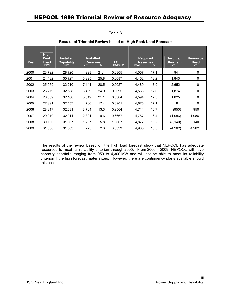| L<br>. .<br>۰. |  |
|----------------|--|
|----------------|--|

| Year | <b>High</b><br>Peak<br>Load<br>(MW) | <b>Installed</b><br><b>Capability</b><br>(MW) | <b>Installed</b><br><b>Reserves</b><br>(MW) | $\%$ | <b>LOLE</b><br>(Days/Year) | <b>Required</b><br>(MW) | <b>Reserves</b><br>% | Surplus/<br>(Shortfall)<br>(MW) | <b>Resource</b><br><b>Need</b><br>(MW) |
|------|-------------------------------------|-----------------------------------------------|---------------------------------------------|------|----------------------------|-------------------------|----------------------|---------------------------------|----------------------------------------|
| 2000 | 23,722                              | 28,720                                        | 4,998                                       | 21.1 | 0.0305                     | 4,057                   | 17.1                 | 941                             | 0                                      |
| 2001 | 24,432                              | 30,727                                        | 6,295                                       | 25.8 | 0.0087                     | 4,452                   | 18.2                 | 1,843                           | 0                                      |
| 2002 | 25,069                              | 32,210                                        | 7.141                                       | 28.5 | 0.0027                     | 4,489                   | 17.9                 | 2,652                           | 0                                      |
| 2003 | 25,779                              | 32,188                                        | 6,409                                       | 24.9 | 0.0095                     | 4,535                   | 17.6                 | 1,874                           | 0                                      |
| 2004 | 26,569                              | 32,188                                        | 5,619                                       | 21.1 | 0.0304                     | 4,594                   | 17.3                 | 1,025                           | 0                                      |
| 2005 | 27,391                              | 32,157                                        | 4,766                                       | 17.4 | 0.0901                     | 4,675                   | 17.1                 | 91                              | 0                                      |
| 2006 | 28,317                              | 32,081                                        | 3,764                                       | 13.3 | 0.2564                     | 4,714                   | 16.7                 | (950)                           | 950                                    |
| 2007 | 29,210                              | 32,011                                        | 2,801                                       | 9.6  | 0.6667                     | 4,787                   | 16.4                 | (1,986)                         | 1,986                                  |
| 2008 | 30,130                              | 31,867                                        | 1,737                                       | 5.8  | 1.6667                     | 4,877                   | 16.2                 | (3, 140)                        | 3,140                                  |
| 2009 | 31,080                              | 31,803                                        | 723                                         | 2.3  | 3.3333                     | 4,985                   | 16.0                 | (4, 262)                        | 4,262                                  |

#### **Results of Triennial Review based on High Peak Load Forecast**

The results of the review based on the high load forecast show that NEPOOL has adequate resources to meet its reliability criterion through 2005. From 2006 - 2009, NEPOOL will have capacity shortfalls ranging from 950 to 4,300 MW and will not be able to meet its reliability criterion if the high forecast materializes. However, there are contingency plans available should this occur.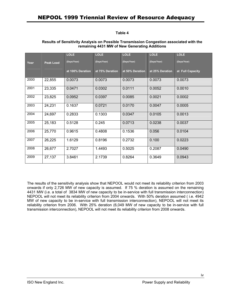#### **Table 4**

|      |                  | <b>LOLE</b>      | <b>LOLE</b>     | <b>LOLE</b>     | <b>LOLE</b>     | <b>LOLE</b>      |
|------|------------------|------------------|-----------------|-----------------|-----------------|------------------|
| Year | <b>Peak Load</b> | (Days/Year)      | (Days/Year)     | (Days/Year)     | (Days/Year)     | (Days/Year)      |
|      |                  | at 100% Deration | at 75% Deration | at 50% Deration | at 25% Deration | at Full Capacity |
| 2000 | 22,855           | 0.0073           | 0.0073          | 0.0073          | 0.0073          | 0.0073           |
| 2001 | 23,335           | 0.0471           | 0.0302          | 0.0111          | 0.0052          | 0.0010           |
| 2002 | 23,825           | 0.0952           | 0.0397          | 0.0085          | 0.0021          | 0.0002           |
| 2003 | 24,231           | 0.1637           | 0.0721          | 0.0170          | 0.0047          | 0.0005           |
| 2004 | 24,697           | 0.2833           | 0.1303          | 0.0347          | 0.0105          | 0.0013           |
| 2005 | 25,183           | 0.5128           | 0.245           | 0.0713          | 0.0238          | 0.0037           |
| 2006 | 25,770           | 0.9615           | 0.4808          | 0.1536          | 0.056           | 0.0104           |
| 2007 | 26,225           | 1.6129           | 0.8196          | 0.2732          | 0.100           | 0.0223           |
| 2008 | 26,677           | 2.7027           | 1.4493          | 0.5025          | 0.2087          | 0.0490           |
| 2009 | 27,137           | 3.8461           | 2.1739          | 0.8264          | 0.3649          | 0.0943           |

#### **Results of Sensitivity Analysis on Possible Transmission Congestion associated with the remaining 4431 MW of New Generating Additions**

The results of the sensitivity analysis show that NEPOOL would not meet its reliability criterion from 2003 onwards if only 2,726 MW of new capacity is assumed. If 75 % deration is assumed on the remaining 4431 MW (i.e. a total of 3834 MW of new capacity to be in-service with full transmission interconnection) NEPOOL will not meet its reliability criterion from 2004 onwards. With 50% deration assumed ( i.e. 4942 MW of new capacity to be in-service with full transmission interconnection), NEPOOL will not meet its reliability criterion from 2006. With 25% deration (6,049 MW of new capacity to be in-service with full transmission interconnection), NEPOOL will not meet its reliability criterion from 2008 onwards.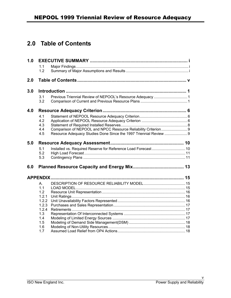# <span id="page-6-0"></span>**2.0 Table of Contents**

| 1.0 |                      |                                                                   |  |
|-----|----------------------|-------------------------------------------------------------------|--|
|     | 1.1                  |                                                                   |  |
|     | 1.2                  |                                                                   |  |
| 2.0 |                      |                                                                   |  |
| 3.0 |                      |                                                                   |  |
|     | 3.1                  | Previous Triennial Review of NEPOOL's Resource Adequacy  1        |  |
|     | 3.2                  |                                                                   |  |
| 4.0 |                      |                                                                   |  |
|     | 4.1                  |                                                                   |  |
|     | 4.2                  |                                                                   |  |
|     | 4.3                  |                                                                   |  |
|     | 4.4                  |                                                                   |  |
|     | 4.5                  | Resource Adequacy Studies Done Since the 1997 Triennial Review  9 |  |
| 5.0 |                      |                                                                   |  |
|     | 5.1                  | Installed vs. Required Reserve for Reference Load Forecast  10    |  |
|     | 5.2                  |                                                                   |  |
|     | 5.3                  |                                                                   |  |
| 6.0 |                      |                                                                   |  |
|     |                      |                                                                   |  |
|     | $\mathsf{A}_{\cdot}$ |                                                                   |  |
|     | 1.1                  |                                                                   |  |
|     | 1.2                  |                                                                   |  |
|     | 1.2.1                |                                                                   |  |
|     | 1.2.2                |                                                                   |  |
|     | 1.2.3                |                                                                   |  |
|     | 1.2.4                |                                                                   |  |
|     | 1.3<br>1.4           |                                                                   |  |
|     | 1.5                  |                                                                   |  |
|     | 1.6                  |                                                                   |  |
|     | 1.7                  |                                                                   |  |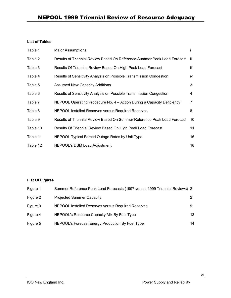### **List of Tables**

| Table 1  | <b>Major Assumptions</b>                                                    |      |
|----------|-----------------------------------------------------------------------------|------|
| Table 2  | Results of Triennial Review Based On Reference Summer Peak Load Forecast ii |      |
| Table 3  | Results Of Triennial Review Based On High Peak Load Forecast                | iii. |
| Table 4  | Results of Sensitivity Analysis on Possible Transmission Congestion         | iv   |
| Table 5  | <b>Assumed New Capacity Additions</b>                                       | 3    |
| Table 6  | Results of Sensitivity Analysis on Possible Transmission Congestion         | 4    |
| Table 7  | NEPOOL Operating Procedure No. 4 – Action During a Capacity Deficiency      | 7    |
| Table 8  | NEPOOL Installed Reserves versus Required Reserves                          | 8    |
| Table 9  | Results of Triennial Review Based On Summer Reference Peak Load Forecast    | 10   |
| Table 10 | Results Of Triennial Review Based On High Peak Load Forecast                | 11   |
| Table 11 | NEPOOL Typical Forced Outage Rates by Unit Type                             | 16   |
| Table 12 | NEPOOL's DSM Load Adjustment                                                | 18   |

### **List Of Figures**

| Figure 1 | Summer Reference Peak Load Forecasts (1997 versus 1999 Triennial Reviews) 2 |    |
|----------|-----------------------------------------------------------------------------|----|
| Figure 2 | <b>Projected Summer Capacity</b>                                            |    |
| Figure 3 | NEPOOL Installed Reserves versus Required Reserves                          | 9  |
| Figure 4 | NEPOOL's Resource Capacity Mix By Fuel Type                                 | 13 |
| Figure 5 | NEPOOL's Forecast Energy Production By Fuel Type                            | 14 |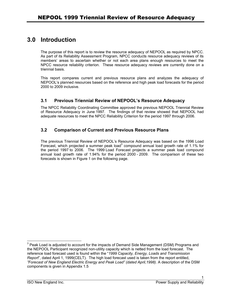# <span id="page-8-0"></span>**3.0 Introduction**

The purpose of this report is to review the resource adequacy of NEPOOL as required by NPCC. As part of its Reliability Assessment Program, NPCC conducts resource adequacy reviews of its members' areas to ascertain whether or not each area plans enough resources to meet the NPCC resource reliability criterion. These resource adequacy reviews are currently done on a triennial basis.

This report compares current and previous resource plans and analyzes the adequacy of NEPOOL's planned resources based on the reference and high peak load forecasts for the period 2000 to 2009 inclusive.

### **3.1 Previous Triennial Review of NEPOOL's Resource Adequacy**

The NPCC Reliability Coordinating Committee approved the previous NEPOOL Triennial Review of Resource Adequacy in June 1997. The findings of that review showed that NEPOOL had adequate resources to meet the NPCC Reliability Criterion for the period 1997 through 2006.

## **3.2 Comparison of Current and Previous Resource Plans**

The previous Triennial Review of NEPOOL's Resource Adequacy was based on the 1996 Load Forecast, which projected a summer peak load<sup>3</sup> compound annual load growth rate of 1.1% for the period 1997 to 2006. The 1999 Load Forecast projects a summer peak load compound annual load growth rate of 1.94% for the period 2000 - 2009. The comparison of these two forecasts is shown in [Figure 1](#page-9-0) on the following page.

<span id="page-8-1"></span> <sup>3</sup> Peak Load is adjusted to account for the impacts of Demand Side Management (DSM) Programs and the NEPOOL Participant recognized non-utility capacity which is netted from the load forecast. The reference load forecast used is found within the "*1999 Capacity, Energy, Loads and Transmission Report*", dated April 1, 1999(CELT). The high load forecast used is taken from the report entitled, *"Forecast of New England Electric Energy and Peak Load" (dated April,1998).* A description of the DSM components is given in Appendix 1.5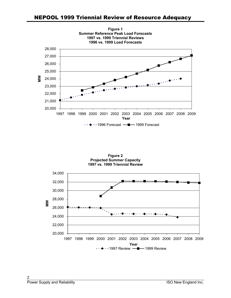<span id="page-9-1"></span><span id="page-9-0"></span>

**Figure 2 Projected Summer Capacity 1997 vs. 1999 Triennial Review**

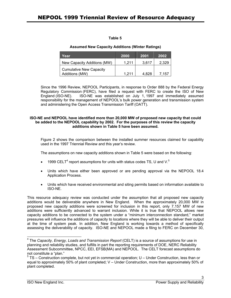### **Table 5**

#### **Assumed New Capacity Additions (Winter Ratings)**

| Year                           | 2000  | 2001  | 2002  |
|--------------------------------|-------|-------|-------|
| New Capacity Additions (MW)    | 1.211 | 3.617 | 2.329 |
| <b>Cumulative New Capacity</b> |       |       |       |
| Additions (MW)                 | 1 211 | 4.828 | 7.157 |

Since the 1996 Review, NEPOOL Participants, in response to Order 888 by the Federal Energy Regulatory Commission (FERC), have filed a request with FERC to create the ISO of New England (ISO-NE). ISO-NE was established on July 1, 1997 and immediately assumed responsibility for the management of NEPOOL's bulk power generation and transmission system and administering the Open Access Transmission Tariff (OATT).

#### **ISO-NE and NEPOOL have identified more than 20,000 MW of proposed new capacity that could be added to the NEPOOL capability by 2002. For the purposes of this review [the capacity](#page-9-1) additions shown in Table 5 have been assumed.**

Figure 2 shows the comparison between the installed summer resources claimed for capability used in the 1997 Triennial Review and this year's review.

The assumptions on new capacity additions shown in Table 5 were based on the following:

- 1999 CELT<sup>[4](#page-10-0)</sup> report assumptions for units with status codes TS, U and V.<sup>[5](#page-10-1)</sup>
- Units which have either been approved or are pending approval via the NEPOOL 18.4 Application Process.
- Units which have received environmental and siting permits based on information available to ISO-NE.

This resource adequacy review was conducted under the assumption that all proposed new capacity additions would be deliverable anywhere in New England. When the approximately 20,000 MW in proposed new capacity additions were screened for inclusion in this report, only 7,157 MW of new additions were sufficiently advanced to warrant inclusion. While it is true that NEPOOL allows new capacity additions to be connected to the system under a "minimum interconnection standard," market pressures will influence the additions of capacity to locations where they will be able to deliver their output at the time of system peak. In addition, New England is working towards a method of specifically assessing the deliverability of capacity. ISO-NE and NEPOOL made a filing to FERC on December 30,

<span id="page-10-0"></span> <sup>4</sup> The *Capacity, Energy, Loads and Transmission Report* (CELT) is a source of assumptions for use in planning and reliability studies, and fulfills in part the reporting requirements of DOE, NERC Reliability Assessment Subcommittee, NPCC, EEI, EFSB(MA) and NEPOOL. The CELT forecast assumptions do not constitute a "plan." 5

<span id="page-10-1"></span> $5$  TS – Construction complete, but not yet in commercial operation; U – Under Construction, less than or equal to approximately 50% of plant completed; V – Under Construction, more than approximately 50% of plant completed.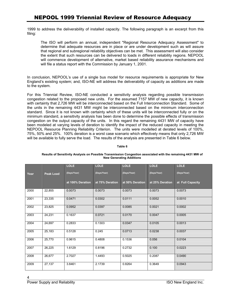1999 to address the deliverability of installed capacity. The following paragraph is an excerpt from this filing:

The ISO will perform an annual, independent "Regional Resource Adequacy Assessment" to determine that adequate resources are in place or are under development such as will assure that regional and subregional reliability objectives can be met. This assessment will also consider the extent that such resources can be delivered to loads in different reliability regions. NEPOOL will commence development of alternative, market based reliability assurance mechanisms and will file a status report with the Commission by January 1, 2001.

In conclusion, NEPOOL's use of a single bus model for resource requirements is appropriate for New England's existing system; and, ISO-NE will address the deliverability of capacity as additions are made to the system.

For this Triennial Review, ISO-NE conducted a sensitivity analysis regarding possible transmission congestion related to the proposed new units. For the assumed 7157 MW of new capacity, it is known with certainty that 2,726 MW will be interconnected based on the Full Interconnection Standard. Some of the units in the remaining 4431 MW might be interconnected based on the minimum interconnection standard. Since it is not known with certainty which of these units will be interconnected fully or on the minimum standard, a sensitivity analysis has been done to determine the possible effects of transmission congestion on the output capacity of the units. In this regard the remaining 4431 MW of capacity have been modeled at varying levels of deration to identify the impact of the reduced capacity in meeting the NEPOOL Resource Planning Reliability Criterion. The units were modelled at derated levels of 100%, 75%, 50% and 25%. 100% deration is a worst case scenario which effectively means that only 2,726 MW will be available to fully serve the load. The results of the analysis are presented in Table 6 below.

#### **Table 6**

|      |                  | <b>LOLE</b>      | <b>LOLE</b>     | <b>LOLE</b>     | <b>LOLE</b>     | <b>LOLE</b>      |
|------|------------------|------------------|-----------------|-----------------|-----------------|------------------|
| Year | <b>Peak Load</b> | (Days/Year)      | (Days/Year)     | (Days/Year)     | (Days/Year)     | (Days/Year)      |
|      |                  | at 100% Deration | at 75% Deration | at 50% Deration | at 25% Deration | at Full Capacity |
| 2000 | 22,855           | 0.0073           | 0.0073          | 0.0073          | 0.0073          | 0.0073           |
| 2001 | 23,335           | 0.0471           | 0.0302          | 0.0111          | 0.0052          | 0.0010           |
| 2002 | 23,825           | 0.0952           | 0.0397          | 0.0085          | 0.0021          | 0.0002           |
| 2003 | 24,231           | 0.1637           | 0.0721          | 0.0170          | 0.0047          | 0.0005           |
| 2004 | 24,697           | 0.2833           | 0.1303          | 0.0347          | 0.0105          | 0.0013           |
| 2005 | 25,183           | 0.5128           | 0.245           | 0.0713          | 0.0238          | 0.0037           |
| 2006 | 25,770           | 0.9615           | 0.4808          | 0.1536          | 0.056           | 0.0104           |
| 2007 | 26,225           | 1.6129           | 0.8196          | 0.2732          | 0.100           | 0.0223           |
| 2008 | 26,677           | 2.7027           | 1.4493          | 0.5025          | 0.2087          | 0.0490           |
| 2009 | 27,137           | 3.8461           | 2.1739          | 0.8264          | 0.3649          | 0.0943           |

#### **Results of Sensitivity Analysis on Possible Transmission Congestion associated with the remaining 4431 MW of New Generating Additions**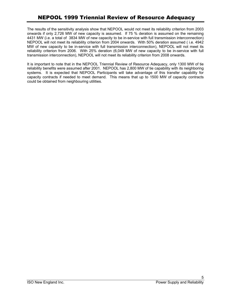The results of the sensitivity analysis show that NEPOOL would not meet its reliability criterion from 2003 onwards if only 2,726 MW of new capacity is assumed. If 75 % deration is assumed on the remaining 4431 MW (i.e. a total of 3834 MW of new capacity to be in-service with full transmission interconnection) NEPOOL will not meet its reliability criterion from 2004 onwards. With 50% deration assumed ( i.e. 4942 MW of new capacity to be in-service with full transmission interconnection), NEPOOL will not meet its reliability criterion from 2006. With 25% deration (6,049 MW of new capacity to be in-service with full transmission interconnection), NEPOOL will not meet its reliability criterion from 2008 onwards.

It is important to note that in the NEPOOL Triennial Review of Resource Adequacy, only 1300 MW of tie reliability benefits were assumed after 2001. NEPOOL has 2,800 MW of tie capability with its neighboring systems. It is expected that NEPOOL Participants will take advantage of this transfer capability for capacity contracts if needed to meet demand. This means that up to 1500 MW of capacity contracts could be obtained from neighbouring utilities.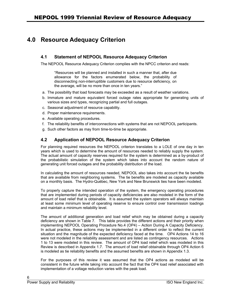# <span id="page-13-0"></span>**4.0 Resource Adequacy Criterion**

## **4.1 Statement of NEPOOL Resource Adequacy Criterion**

The NEPOOL Resource Adequacy Criterion complies with the NPCC criterion and reads:

"Resources will be planned and installed in such a manner that, after due allowance for the factors enumerated below, the probability of disconnecting non-interruptible customers due to resource deficiency, on the average, will be no more than once in ten years."

- a. The possibility that load forecasts may be exceeded as a result of weather variations.
- b. Immature and mature equivalent forced outage rates appropriate for generating units of various sizes and types, recognizing partial and full outages.
- c. Seasonal adjustment of resource capability.
- d. Proper maintenance requirements.
- e. Available operating procedures.
- f. The reliability benefits of interconnections with systems that are not NEPOOL participants.
- g. Such other factors as may from time-to-time be appropriate.

## **4.2 Application of NEPOOL Resource Adequacy Criterion**

For planning required resources the NEPOOL criterion translates to a LOLE of one day in ten years which is used to determine the amount of resources needed to reliably supply the system. The actual amount of capacity reserves required for the system is determined as a by-product of the probabilistic simulation of the system which takes into account the random nature of generating unit forced outages and the probability distribution of the load.

In calculating the amount of resources needed, NEPOOL also takes into account the tie benefits that are available from neighboring systems. The tie benefits are modeled as capacity available on a monthly basis. The Hydro-Québec, New York and New Brunswick ties have been modeled.

To properly capture the intended operation of the system, the emergency operating procedures that are implemented during periods of capacity deficiencies are also modeled in the form of the amount of load relief that is obtainable. It is assumed the system operators will always maintain at least some minimum level of operating reserve to ensure control over transmission loadings and maintain a minimum reliability level.

The amount of additional generation and load relief which may be obtained during a capacity deficiency are shown in Table 7. This table provides the different actions and their priority when implementing NEPOOL Operating Procedure No.4 (OP4) – Action During A Capacity Deficiency. In actual practice, these actions may be implemented in a different order to reflect the current situation and the magnitude of the expected deficiency faced at the time. OP4 Actions 14 to 16 were not modeled in the reliability assessment and are listed as contingency resources. Actions 1 to 13 were modeled in this review. The amount of OP4 load relief which was modeled in this Review is described in Appendix 1.7. The amount of load relief obtainable through OP4 Action 6 is modeled as tie reliability benefits and the assumed benefits are shown in Appendix 1.3.

For the purposes of this review it was assumed that the OP4 actions as modeled will be consistent in the future while taking into account the fact that the OP4 load relief associated with implementation of a voltage reduction varies with the peak load.

6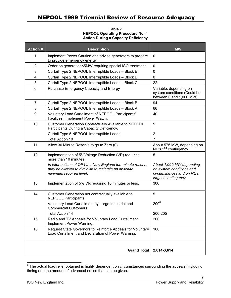**Table 7 NEPOOL Operating Procedure No. 4 Action During a Capacity Deficiency**

| <b>Action#</b> | <b>Description</b>                                                                                                                          | <b>MW</b>                                                                                                 |
|----------------|---------------------------------------------------------------------------------------------------------------------------------------------|-----------------------------------------------------------------------------------------------------------|
| 1              | Implement Power Caution and advise generators to prepare<br>to provide emergency energy                                                     | $\mathbf 0$                                                                                               |
| $\overline{2}$ | Order on generation<5MW requiring special ISO treatment                                                                                     | $\mathbf 0$                                                                                               |
| 3              | Curtail Type 2 NEPOOL Interruptible Loads - Block E                                                                                         | 0                                                                                                         |
| 4              | Curtail Type 2 NEPOOL Interruptible Loads - Block D                                                                                         | $\mathbf 0$                                                                                               |
| 5              | Curtail Type 2 NEPOOL Interruptible Loads - Block C                                                                                         | 22                                                                                                        |
| 6              | Purchase Emergency Capacity and Energy                                                                                                      | Variable, depending on<br>system conditions (Could be<br>between 0 and 1,000 MW)                          |
| 7              | Curtail Type 2 NEPOOL Interruptible Loads - Block B                                                                                         | 94                                                                                                        |
| 8              | Curtail Type 2 NEPOOL Interruptible Loads - Block A                                                                                         | 66                                                                                                        |
| 9              | Voluntary Load Curtailment of NEPOOL Participants'<br>Facilities. Implement Power Watch.                                                    | 40                                                                                                        |
| 10             | Customer Generation Contractually Available to NEPOOL<br>Participants During a Capacity Deficiency.                                         | 5                                                                                                         |
|                | Curtail Type 5 NEPOOL Interruptible Loads                                                                                                   | $\overline{2}$                                                                                            |
|                | <b>Total Action 10</b>                                                                                                                      | 7                                                                                                         |
| 11             | Allow 30 Minute Reserve to go to Zero (0)                                                                                                   | About 575 MW, depending on<br>NE's 2 <sup>nd</sup> contingency                                            |
| 12             | Implementation of 5%Voltage Reduction (VR) requiring<br>more than 10 minutes.                                                               | 5                                                                                                         |
|                | In later actions of OP4 the New England ten-minute reserve<br>may be allowed to diminish to maintain an absolute<br>minimum required level. | About 1,000 MW depending<br>on system conditions and<br>circumstances and on NE's<br>largest contingency. |
| 13             | Implementation of 5% VR requiring 10 minutes or less.                                                                                       | 300                                                                                                       |
| 14             | Customer Generation not contractually available to<br><b>NEPOOL Participants</b>                                                            | 5                                                                                                         |
|                | Voluntary Load Curtailment by Large Industrial and<br><b>Commercial Customers</b>                                                           | $200^6$                                                                                                   |
|                | <b>Total Action 14</b>                                                                                                                      | 200-205                                                                                                   |
| 15             | Radio and TV Appeals for Voluntary Load Curtailment.<br>Implement Power Warning.                                                            | 200                                                                                                       |
| 16             | Request State Governors to Reinforce Appeals for Voluntary<br>Load Curtailment and Declaration of Power Warning.                            | 100                                                                                                       |
|                | <b>Grand Total</b>                                                                                                                          | 2,614-3,614                                                                                               |

<span id="page-14-0"></span><sup>————————————————————&</sup>lt;br><sup>6</sup> The actual load relief obtained is highly dependent on circumstances surrounding the appeals, including timing and the amount of advanced notice that can be given.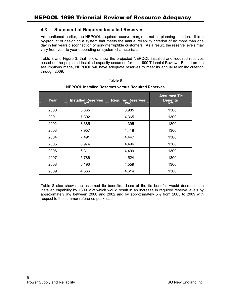### <span id="page-15-0"></span>**4.3 Statement of Required Installed Reserves**

As mentioned earlier, the NEPOOL required reserve margin is not its planning criterion. It is a by-product of designing a system that meets the annual reliability criterion of no more than one day in ten years disconnection of non-interruptible customers. As a result, the reserve levels may vary from year to year depending on system characteristics.

[Table 8](#page-15-1) and [Figure 3,](#page-16-1) that follow, show the projected NEPOOL installed and required reserves based on the projected installed capacity assumed for the 1999 Triennial Review. Based on the assumptions made, NEPOOL will have adequate reserves to meet its annual reliability criterion through 2009.

| Year | <b>Installed Reserves</b><br>(MW) | <b>Required Reserves</b><br>(MW) | <b>Assumed Tie</b><br><b>Benefits</b><br>(MW) |
|------|-----------------------------------|----------------------------------|-----------------------------------------------|
| 2000 | 5,865                             | 3,985                            | 1300                                          |
| 2001 | 7,392                             | 4,365                            | 1300                                          |
| 2002 | 8,385                             | 4,395                            | 1300                                          |
| 2003 | 7,957                             | 4,418                            | 1300                                          |
| 2004 | 7,491                             | 4,447                            | 1300                                          |
| 2005 | 6,974                             | 4,496                            | 1300                                          |
| 2006 | 6,311                             | 4,499                            | 1300                                          |
| 2007 | 5,786                             | 4,524                            | 1300                                          |
| 2008 | 5,190                             | 4,559                            | 1300                                          |
| 2009 | 4,666                             | 4,614                            | 1300                                          |

### <span id="page-15-1"></span>**Table 8**

### **NEPOOL Installed Reserves versus Required Reserves**

Table 8 also shows the assumed tie benefits. Loss of the tie benefits would decrease the installed capability by 1300 MW which would result in an increase in required reserve levels by approximately 6% between 2000 and 2002 and by approximately 5% from 2003 to 2009 with respect to the summer reference peak load.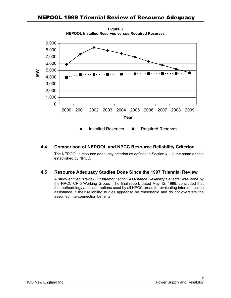<span id="page-16-0"></span>

#### <span id="page-16-1"></span>**Figure 3 NEPOOL Installed Reserves versus Required Reserves**

## **4.4 Comparison of NEPOOL and NPCC Resource Reliability Criterion**

The NEPOOL's resource adequacy criterion as defined in Section 4.1 is the same as that established by NPCC.

## **4.5 Resource Adequacy Studies Done Since the 1997 Triennial Review**

A study entitled,"*Review Of Interconnection Assistance Reliability Benefits"* was done by the NPCC CP-5 Working Group. The final report, dated May 12, 1999, concluded that the methodology and assumptions used by all NPCC areas for evaluating interconnection assistance in their reliability studies appear to be reasonable and do not overstate the assumed interconnection benefits.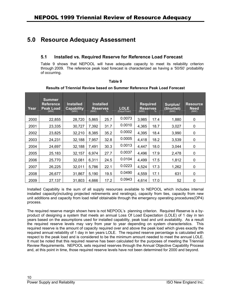# <span id="page-17-0"></span>**5.0 Resource Adequacy Assessment**

### **5.1 Installed vs. Required Reserve for Reference Load Forecast**

Table 9 shows that NEPOOL will have adequate capacity to meet its reliability criterion through 2009. The reference peak load forecast is characterized as having a '50/50' probability of occurring.

| Year | <b>Summer</b><br><b>Reference</b><br><b>Peak Load</b><br>(MW) | <b>Installed</b><br><b>Capability</b><br>(MW) | <b>Installed</b><br><b>Reserves</b><br>(MW)<br>% |      | <b>LOLE</b><br>(Days/Year) | <b>Required</b><br><b>Reserves</b><br>(MW)<br>% |      | Surplus/<br>(Shortfall)<br>(MW) | <b>Resource</b><br><b>Need</b><br>(MW) |
|------|---------------------------------------------------------------|-----------------------------------------------|--------------------------------------------------|------|----------------------------|-------------------------------------------------|------|---------------------------------|----------------------------------------|
| 2000 | 22,855                                                        | 28,720                                        | 5,865                                            | 25.7 | 0.0073                     | 3,985                                           | 17.4 | 1,880                           | 0                                      |
| 2001 | 23,335                                                        | 30,727                                        | 7,392                                            | 31.7 | 0.0010                     | 4,365                                           | 18.7 | 3,027                           | 0                                      |
| 2002 | 23,825                                                        | 32,210                                        | 8,385                                            | 35.2 | 0.0002                     | 4,395                                           | 18.4 | 3,990                           | 0                                      |
| 2003 | 24,231                                                        | 32,188                                        | 7,957                                            | 32.8 | 0.0005                     | 4,418                                           | 18.2 | 3,539                           | 0                                      |
| 2004 | 24,697                                                        | 32,188                                        | 7,491                                            | 30.3 | 0.0013                     | 4,447                                           | 18.0 | 3,044                           | 0                                      |
| 2005 | 25,183                                                        | 32,157                                        | 6,974                                            | 27.7 | 0.0037                     | 4,496                                           | 17.9 | 2,478                           | 0                                      |
| 2006 | 25,770                                                        | 32,081                                        | 6,311                                            | 24.5 | 0.0104                     | 4,499                                           | 17.5 | 1,812                           | 0                                      |
| 2007 | 26,225                                                        | 32,011                                        | 5,786                                            | 22.1 | 0.0223                     | 4,524                                           | 17.3 | 1,262                           | 0                                      |
| 2008 | 26,677                                                        | 31,867                                        | 5,190                                            | 19.5 | 0.0490                     | 4,559                                           | 17.1 | 631                             | 0                                      |
| 2009 | 27,137                                                        | 31,803                                        | 4,666                                            | 17.2 | 0.0943                     | 4,614                                           | 17.0 | 52                              | 0                                      |

**Table 9** 

### **Results of Triennial Review based on Summer Reference Peak Load Forecast**

Installed Capability is the sum of all supply resources available to NEPOOL which includes internal installed capacity(including projected retirements and reratings), capacity from ties, capacity from new unit additions and capacity from load relief obtainable through the emergency operating procedures(OP4) process.

The required reserve margin shown here is not NEPOOL's planning criterion. Required Reserve is a byproduct of designing a system that meets an annual Loss Of Load Expectation (LOLE) of 1 day in ten years based on the assumptions used for installed capability, peak load and unit availability. As a result the required reserve levels may vary from year to year depending on system characteristics. This required reserve is the amount of capacity required over and above the peak load which gives exactly the required annual reliability of 1 day in ten years LOLE. The required reserve percentage is calculated with respect to the peak load and is considered to be the minimum amount needed to meet the annual LOLE. It must be noted that this required reserve has been calculated for the purposes of meeting the Triennial Review Requirements. NEPOOL sets required reserves through the Annual Objective Capability Process and, at this point in time, those required reserve levels have not been determined for 2000 and beyond.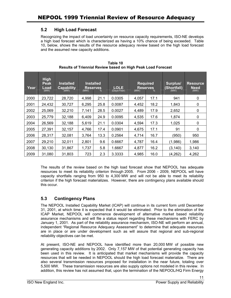### <span id="page-18-0"></span>**5.2 High Load Forecast**

Recognizing the impact of load uncertainty on resource capacity requirements, ISO-NE develops a high load forecast which is characterized as having a 10% chance of being exceeded. Table 10, below, shows the results of the resource adequacy review based on the high load forecast and the assumed new capacity additions.

| Year | <b>High</b><br>Peak<br>Load<br>(MW) | <b>Installed</b><br><b>Capability</b><br>(MW) | <b>Installed</b><br><b>Reserves</b><br>(MW)<br>℅ |      | <b>LOLE</b><br>(Days/Year) | <b>Required</b><br><b>Reserves</b><br>(MW)<br>% |      | Surplus/<br>(Shortfall)<br>(MW) | <b>Resource</b><br><b>Need</b><br>(MW) |
|------|-------------------------------------|-----------------------------------------------|--------------------------------------------------|------|----------------------------|-------------------------------------------------|------|---------------------------------|----------------------------------------|
| 2000 | 23,722                              | 28,720                                        | 4.998                                            | 21.1 | 0.0305                     | 4,057                                           | 17.1 | 941                             | 0                                      |
| 2001 | 24,432                              | 30,727                                        | 6,295                                            | 25.8 | 0.0087                     | 4,452                                           | 18.2 | 1,843                           | 0                                      |
| 2002 | 25,069                              | 32,210                                        | 7,141                                            | 28.5 | 0.0027                     | 4,489                                           | 17.9 | 2,652                           | $\Omega$                               |
| 2003 | 25,779                              | 32,188                                        | 6,409                                            | 24.9 | 0.0095                     | 4,535                                           | 17.6 | 1,874                           | 0                                      |
| 2004 | 26,569                              | 32,188                                        | 5,619                                            | 21.1 | 0.0304                     | 4,594                                           | 17.3 | 1,025                           | $\mathbf 0$                            |
| 2005 | 27,391                              | 32,157                                        | 4,766                                            | 17.4 | 0.0901                     | 4,675                                           | 17.1 | 91                              | $\Omega$                               |
| 2006 | 28,317                              | 32,081                                        | 3,764                                            | 13.3 | 0.2564                     | 4,714                                           | 16.7 | (950)                           | 950                                    |
| 2007 | 29,210                              | 32,011                                        | 2,801                                            | 9.6  | 0.6667                     | 4,787                                           | 16.4 | (1,986)                         | 1,986                                  |
| 2008 | 30,130                              | 31,867                                        | 1,737                                            | 5.8  | 1.6667                     | 4,877                                           | 16.2 | (3, 140)                        | 3,140                                  |
| 2009 | 31,080                              | 31.803                                        | 723                                              | 2.3  | 3.3333                     | 4,985                                           | 16.0 | (4, 262)                        | 4,262                                  |

**Table 10 Results of Triennial Review based on High Peak Load Forecast** 

The results of the review based on the high load forecast show that NEPOOL has adequate resources to meet its reliability criterion through 2005. From 2006 - 2009, NEPOOL will have capacity shortfalls ranging from 950 to 4,300 MW and will not be able to meet its reliability criterion if the high forecast materializes. However, there are contingency plans available should this occur.

## **5.3 Contingency Plans**

The NEPOOL Installed Capability Market (ICAP) will continue in its current form until December 31, 2001, at which time it is expected that it would be eliminated. Prior to the elimination of the ICAP Market, NEPOOL will commence development of alternative market based reliability assurance mechanisms and will file a status report regarding these mechanisms with FERC by January 1, 2001. As part of the reliability assurance mechanism, ISO-NE will perform an annual, independent "Regional Resource Adequacy Assessment" to determine that adequate resources are in place or are under development such as will assure that regional and sub-regional reliability objectives can be met.

At present, ISO-NE and NEPOOL have identified more than 20,000 MW of possible new generating capacity additions by 2002. Only 7,157 MW of that potential generating capacity has been used in this review. It is anticipated that market mechanisms will provide the capacity resources that will be needed in NEPOOL should the high load forecast materialize. There are also several transmission resources proposed for installation in the near future, totaling over 5,500 MW. These transmission resources are also supply options not modeled in this review. In addition, this review has not assumed that, upon the termination of the NEPOOL/HQ Firm Energy

11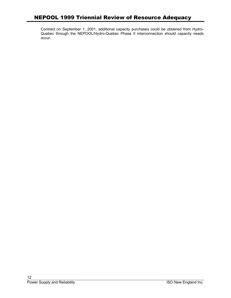Contract on September 1, 2001, additional capacity purchases could be obtained from Hydro-Quebec through the NEPOOL/Hydro-Quebec Phase II interconnection should capacity needs occur.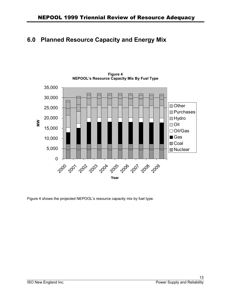# <span id="page-20-0"></span>**6.0 Planned Resource Capacity and Energy Mix**



**Figure 4 NEPOOL's Resource Capacity Mix By Fuel Type** 

Figure 4 shows the projected NEPOOL's resource capacity mix by fuel type.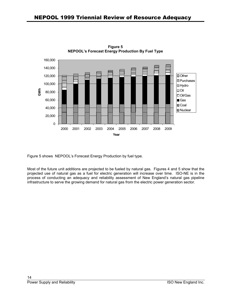

**Figure 5 NEPOOL's Forecast Energy Production By Fuel Type** 

Figure 5 shows NEPOOL's Forecast Energy Production by fuel type.

Most of the future unit additions are projected to be fueled by natural gas. Figures 4 and 5 show that the projected use of natural gas as a fuel for electric generation will increase over time. ISO-NE is in the process of conducting an adequacy and reliability assessment of New England's natural gas pipeline infrastructure to serve the growing demand for natural gas from the electric power generation sector.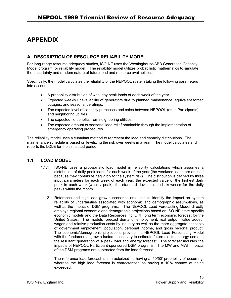# <span id="page-22-0"></span>**APPENDIX**

## **A. DESCRIPTION OF RESOURCE RELIABILITY MODEL**

For long-range resource adequacy studies, ISO-NE uses the Westinghouse/ABB Generation Capacity Model program (or reliability model). The reliability model utilizes probabilistic mathematics to simulate the uncertainty and random nature of future load and resource availabilities.

Specifically, the model calculates the reliability of the NEPOOL system taking the following parameters into account:

- A probability distribution of weekday peak loads of each week of the year.
- Expected weekly unavailability of generators due to planned maintenance, equivalent forced outages, and seasonal deratings.
- The expected level of capacity purchases and sales between NEPOOL (or its Participants) and neighboring utilities.
- The expected tie benefits from neighboring utilities.
- The expected amount of seasonal load relief obtainable through the implementation of emergency operating procedures.

The reliability model uses a cumulant method to represent the load and capacity distributions. The maintenance schedule is based on levelizing the risk over weeks in a year. The model calculates and reports the LOLE for the simulated period.

### **1.1 LOAD MODEL**

- 1.1.1 ISO-NE uses a probabilistic load model in reliability calculations which assumes a distribution of daily peak loads for each week of the year (the weekend loads are omitted because they contribute negligibly to the system risk). The distribution is defined by three input parameters for each week of each year; the expected value of the highest daily peak in each week (weekly peak), the standard deviation, and skewness for the daily peaks within the month.
- 1.1.2 Reference and high load growth scenarios are used to identify the impact on system reliability of uncertainties associated with economic and demographic assumptions, as well as the impact of DSM programs. The NEPOOL Load Forecasting Model directly employs regional economic and demographic projections based on ISO-NE state-specific economic models and the Data Resources Inc.(DRI) long term economic forecast for the United States. The models forecast demand, employment, real output, value added, wages and relative production costs by industry as well as the more aggregate concepts of government employment, population, personal income, and gross regional product. The economic/demographic projections provide the NEPOOL Load Forecasting Model with the fundamental growth factors necessary to estimate future electric energy use and the resultant generation of a peak load and energy forecast. The forecast includes the impacts of NEPOOL Participant-sponsored DSM programs. The MW and MWh impacts of the DSM programs are subtracted from the load forecast.

The reference load forecast is characterized as having a '50/50' probability of occurring, whereas the high load forecast is characterized as having a 10% chance of being exceeded.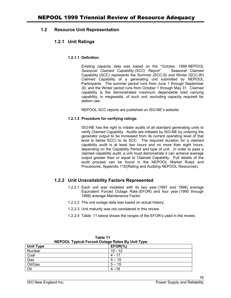### <span id="page-23-0"></span>**1.2 Resource Unit Representation**

### **1.2.1 Unit Ratings**

#### **1.2.1.1 Definition**

Existing capacity data was based on the "*October, 1999 NEPOOL Seasonal Claimed Capability (SCC) Report"*. Seasonal Claimed Capability (SCC) represents the Summer (SCC-S) and Winter (SCC-W) Claimed Capability of a generating unit submitted by NEPOOL Participants. The summer period runs from June 1 through September 30, and the Winter period runs from October 1 through May 31. Claimed capability is the demonstrated maximum dependable load carrying capability, in megawatts, of such unit, excluding capacity required for station use.

NEPOOL SCC reports are published on ISO-NE's website.

#### **1.2.1.2 Procedure for verifying ratings**

ISO-NE has the right to initiate audits of all standard generating units to verify Claimed Capability. Audits are initiated by ISO-NE by ordering the generator output to be increased from its current operating level (if that level is below SCC) to its SCC. The required duration for a claimed capability audit is at least two hours and no more than eight hours, depending on the Capability Period and type of unit. In order to pass a claimed capability audit, a unit must demonstrate it can achieve average output greater than or equal to Claimed Capability. Full details of the audit process can be found in the NEPOOL Market Rules and Procedures, Appendix 11D(Rating and Auditing NEPOOL Resources).

### **1.2.2 Unit Unavailability Factors Represented**

- 1.2.2.1 Each unit was modeled with its two year (1997 and 1998) average Equivalent Forced Outage Rate (EFOR) and four year (1995 through 1998) average Maintenance Factor.
- 1.2.2.2 The unit outage data was based on actual history.
- 1.2.2.3 Unit maturity was not considered in this review
- 1.2.2.4 Table 11 below shows the ranges of the EFOR's used in the review.

| <b>NEFOOL Typical Forced Outage Rates By OTHE TYPE</b> |            |  |  |  |  |  |
|--------------------------------------------------------|------------|--|--|--|--|--|
| <b>Unit Type</b>                                       | $EFOR(\%)$ |  |  |  |  |  |
| Nuclear                                                | $10 - 12$  |  |  |  |  |  |
| Coal                                                   | 4 - 17     |  |  |  |  |  |
| Gas                                                    | $5 - 15$   |  |  |  |  |  |
| Oil/Gas                                                | $5 - 15$   |  |  |  |  |  |
| Oil                                                    | $4 - 16$   |  |  |  |  |  |

**Table 11 NEPOOL Typical Forced Outage Rates By Unit Type** 

16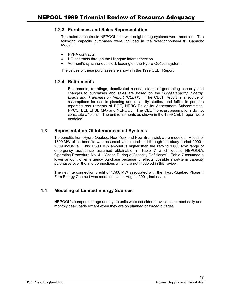### <span id="page-24-0"></span>**1.2.3 Purchases and Sales Representation**

The external contracts NEPOOL has with neighboring systems were modeled. The following capacity purchases were included in the Westinghouse/ABB Capacity Model:

- NYPA contracts
- HQ contracts through the Highgate interconnection
- Vermont's synchronous block loading on the Hydro-Québec system.

The values of these purchases are shown in the 1999 CELT Report.

### **1.2.4 Retirements**

Retirements, re-ratings, deactivated reserve status of generating capacity and changes to purchases and sales are based on the "*1999 Capacity, Energy, Loads and Transmission Report (CELT)"*. The CELT Report is a source of assumptions for use in planning and reliability studies, and fulfills in part the reporting requirements of DOE, NERC Reliability Assessment Subcommittee, NPCC, EEI, EFSB(MA) and NEPOOL. The CELT forecast assumptions do not constitute a "plan." The unit retirements as shown in the 1999 CELT report were modeled.

### **1.3 Representation Of Interconnected Systems**

Tie benefits from Hydro-Québec, New York and New Brunswick were modeled. A total of 1300 MW of tie benefits was assumed year round and through the study period 2000 - 2009 inclusive. This 1,300 MW amount is higher than the zero to 1,000 MW range of emergency assistance assumed obtainable in Table 7 which details NEPOOL's Operating Procedure No. 4 - "Action During a Capacity Deficiency". Table 7 assumed a lower amount of emergency purchase because it reflects possible short-term capacity purchases over the interconnections which are not modeled in this review.

The net interconnection credit of 1,500 MW associated with the Hydro-Québec Phase II Firm Energy Contract was modeled (Up to August 2001, inclusive).

## **1.4 Modeling of Limited Energy Sources**

NEPOOL's pumped storage and hydro units were considered available to meet daily and monthly peak loads except when they are on planned or forced outages.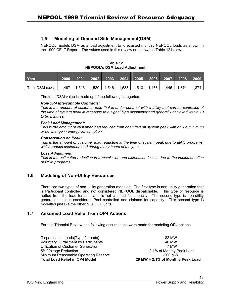### <span id="page-25-0"></span>**1.5 Modeling of Demand Side Management(DSM)**

NEPOOL models DSM as a load adjustment to forecasted monthly NEPOOL loads as shown in the 1999 CELT Report. The values used in this review are shown in [Table 1](#page-25-1)2 below.

<span id="page-25-1"></span>**Table 12 NEPOOL's DSM Load Adjustment**

| Year           |       | 2001  |           |       | 2002 2003 2004 2005 2006 2007 |       |       | 2008  | 2009 |
|----------------|-------|-------|-----------|-------|-------------------------------|-------|-------|-------|------|
| Total DSM (MW) | 1.497 | 1.513 | $1.530$ I | 1,546 | $1,538$   1,513               | 1,463 | 1,445 | 1.374 |      |

The total DSM value is made up of the following categories:

#### *Non-OP4 Interruptible Contracts:*

*This is the amount of customer load that is under contract with a utility that can be controlled at the time of system peak in response to a signal by a dispatcher and generally achieved within 10 to 30 minutes.* 

#### *Peak Load Management:*

*This is the amount of customer load reduced from or shifted off system peak with only a minimum or no change in energy consumption.* 

#### *Conservation on Peak:*

*This is the amount of customer load reduction at the time of system peak due to utility programs, which reduce customer load during many hours of the year.* 

#### *Loss Adjustment:*

*This is the estimated reduction in transmission and distribution losses due to the implementation of DSM programs.* 

### **1.6 Modeling of Non-Utility Resources**

There are two types of non-utility generation modeled. The first type is non-utility generation that is Participant controlled and not considered NEPOOL dispatchable. This type of resource is netted from the load forecast and is not claimed for capacity. The second type is non-utility generation that is considered Pool controlled and claimed for capacity. This second type is modelled just like the other NEPOOL units.

### **1.7 Assumed Load Relief from OP4 Actions**

For this Triennial Review, the following assumptions were made for modeling OP4 actions

| <b>Total Load Relief in OP4 Model</b>        | 29 MW + 2.1% of Monthly Peak Load |
|----------------------------------------------|-----------------------------------|
| Minimum Reasonable Operating Reserve         | $-200$ MW                         |
| 5% Voltage Reduction                         | 2.1% of Monthy Peak Load          |
| Utilization of Customer Generation           | 7 MW                              |
| <b>Voluntary Curtailment by Participants</b> | 40 MW                             |
| Dispatchable Loads(Type 2 Loads)             | 182 MW                            |
|                                              |                                   |